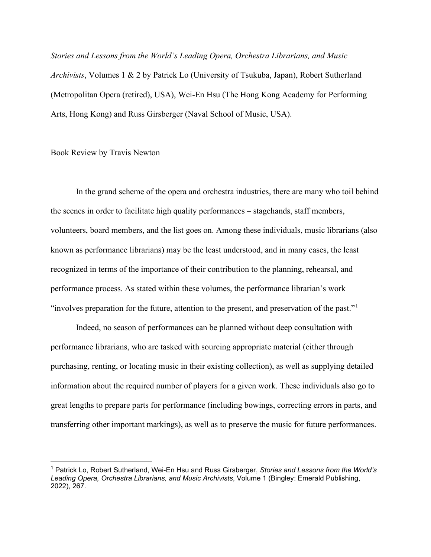*Stories and Lessons from the World's Leading Opera, Orchestra Librarians, and Music Archivists*, Volumes 1 & 2 by Patrick Lo (University of Tsukuba, Japan), Robert Sutherland (Metropolitan Opera (retired), USA), Wei-En Hsu (The Hong Kong Academy for Performing Arts, Hong Kong) and Russ Girsberger (Naval School of Music, USA).

## Book Review by Travis Newton

In the grand scheme of the opera and orchestra industries, there are many who toil behind the scenes in order to facilitate high quality performances – stagehands, staff members, volunteers, board members, and the list goes on. Among these individuals, music librarians (also known as performance librarians) may be the least understood, and in many cases, the least recognized in terms of the importance of their contribution to the planning, rehearsal, and performance process. As stated within these volumes, the performance librarian's work "involves preparation for the future, attention to the present, and preservation of the past."

Indeed, no season of performances can be planned without deep consultation with performance librarians, who are tasked with sourcing appropriate material (either through purchasing, renting, or locating music in their existing collection), as well as supplying detailed information about the required number of players for a given work. These individuals also go to great lengths to prepare parts for performance (including bowings, correcting errors in parts, and transferring other important markings), as well as to preserve the music for future performances.

<span id="page-0-0"></span><sup>1</sup> Patrick Lo, Robert Sutherland, Wei-En Hsu and Russ Girsberger, *Stories and Lessons from the World's Leading Opera, Orchestra Librarians, and Music Archivists*, Volume 1 (Bingley: Emerald Publishing, 2022), 267.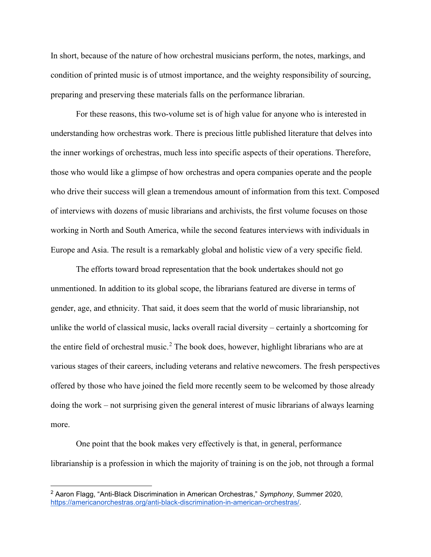In short, because of the nature of how orchestral musicians perform, the notes, markings, and condition of printed music is of utmost importance, and the weighty responsibility of sourcing, preparing and preserving these materials falls on the performance librarian.

 For these reasons, this two-volume set is of high value for anyone who is interested in understanding how orchestras work. There is precious little published literature that delves into the inner workings of orchestras, much less into specific aspects of their operations. Therefore, those who would like a glimpse of how orchestras and opera companies operate and the people who drive their success will glean a tremendous amount of information from this text. Composed of interviews with dozens of music librarians and archivists, the first volume focuses on those working in North and South America, while the second features interviews with individuals in Europe and Asia. The result is a remarkably global and holistic view of a very specific field.

 The efforts toward broad representation that the book undertakes should not go unmentioned. In addition to its global scope, the librarians featured are diverse in terms of gender, age, and ethnicity. That said, it does seem that the world of music librarianship, not unlike the world of classical music, lacks overall racial diversity – certainly a shortcoming for the entire field of orchestral music.<sup>[2](#page-1-0)</sup> The book does, however, highlight librarians who are at various stages of their careers, including veterans and relative newcomers. The fresh perspectives offered by those who have joined the field more recently seem to be welcomed by those already doing the work – not surprising given the general interest of music librarians of always learning more.

 One point that the book makes very effectively is that, in general, performance librarianship is a profession in which the majority of training is on the job, not through a formal

<span id="page-1-0"></span><sup>2</sup> Aaron Flagg, "Anti-Black Discrimination in American Orchestras," *Symphony*, Summer 2020, [https://americanorchestras.org/anti-black-discrimination-in-american-orchestras/.](https://americanorchestras.org/anti-black-discrimination-in-american-orchestras/)